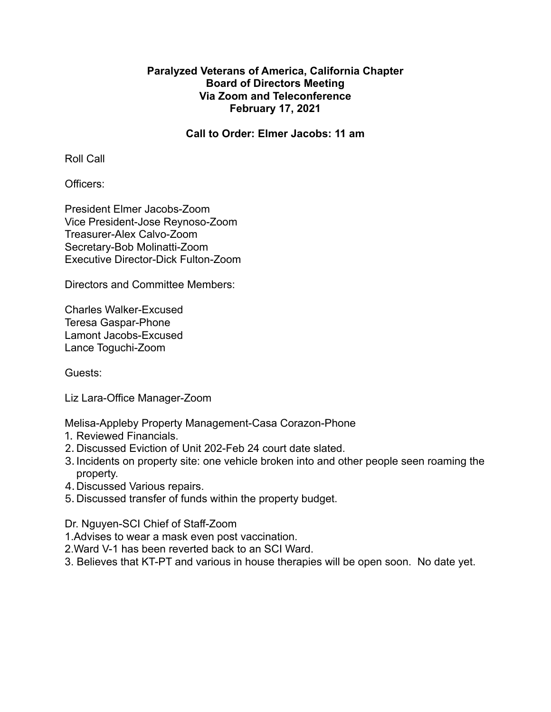# **Paralyzed Veterans of America, California Chapter Board of Directors Meeting Via Zoom and Teleconference February 17, 2021**

**Call to Order: Elmer Jacobs: 11 am**

Roll Call

Officers:

President Elmer Jacobs-Zoom Vice President-Jose Reynoso-Zoom Treasurer-Alex Calvo-Zoom Secretary-Bob Molinatti-Zoom Executive Director-Dick Fulton-Zoom

Directors and Committee Members:

Charles Walker-Excused Teresa Gaspar-Phone Lamont Jacobs-Excused Lance Toguchi-Zoom

Guests:

Liz Lara-Office Manager-Zoom

Melisa-Appleby Property Management-Casa Corazon-Phone

- 1. Reviewed Financials.
- 2. Discussed Eviction of Unit 202-Feb 24 court date slated.
- 3. Incidents on property site: one vehicle broken into and other people seen roaming the property.
- 4.Discussed Various repairs.
- 5. Discussed transfer of funds within the property budget.

Dr. Nguyen-SCI Chief of Staff-Zoom

- 1.Advises to wear a mask even post vaccination.
- 2.Ward V-1 has been reverted back to an SCI Ward.
- 3. Believes that KT-PT and various in house therapies will be open soon. No date yet.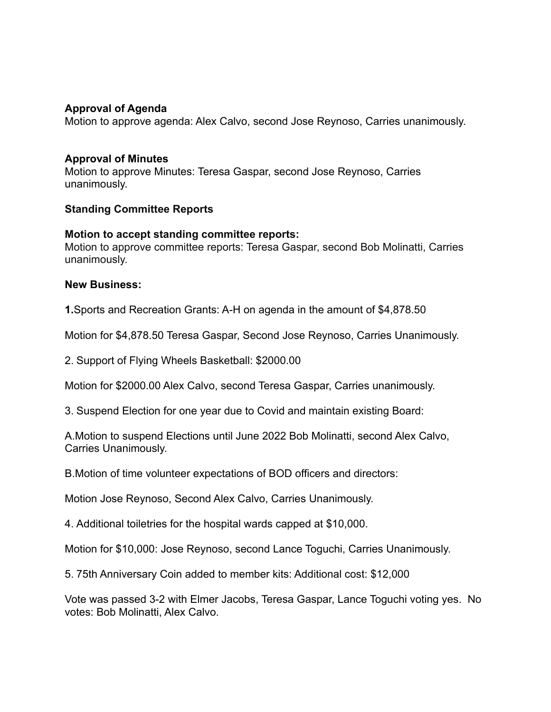## **Approval of Agenda**

Motion to approve agenda: Alex Calvo, second Jose Reynoso, Carries unanimously.

### **Approval of Minutes**

Motion to approve Minutes: Teresa Gaspar, second Jose Reynoso, Carries unanimously.

#### **Standing Committee Reports**

#### **Motion to accept standing committee reports:**

Motion to approve committee reports: Teresa Gaspar, second Bob Molinatti, Carries unanimously.

#### **New Business:**

**1.**Sports and Recreation Grants: A-H on agenda in the amount of \$4,878.50

Motion for \$4,878.50 Teresa Gaspar, Second Jose Reynoso, Carries Unanimously.

2. Support of Flying Wheels Basketball: \$2000.00

Motion for \$2000.00 Alex Calvo, second Teresa Gaspar, Carries unanimously.

3. Suspend Election for one year due to Covid and maintain existing Board:

A.Motion to suspend Elections until June 2022 Bob Molinatti, second Alex Calvo, Carries Unanimously.

B.Motion of time volunteer expectations of BOD officers and directors:

Motion Jose Reynoso, Second Alex Calvo, Carries Unanimously.

4. Additional toiletries for the hospital wards capped at \$10,000.

Motion for \$10,000: Jose Reynoso, second Lance Toguchi, Carries Unanimously.

5. 75th Anniversary Coin added to member kits: Additional cost: \$12,000

Vote was passed 3-2 with Elmer Jacobs, Teresa Gaspar, Lance Toguchi voting yes. No votes: Bob Molinatti, Alex Calvo.